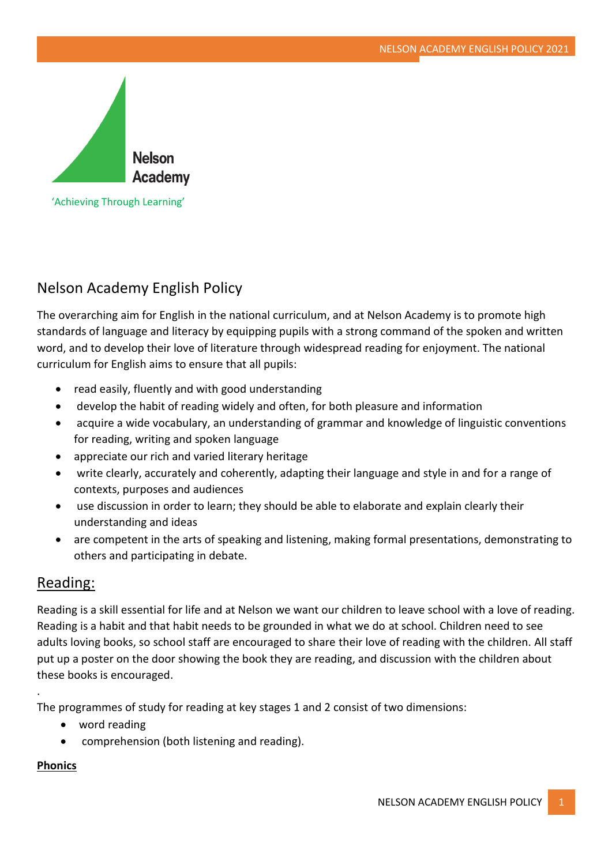

'Achieving Through Learning'

# Nelson Academy English Policy

The overarching aim for English in the national curriculum, and at Nelson Academy is to promote high standards of language and literacy by equipping pupils with a strong command of the spoken and written word, and to develop their love of literature through widespread reading for enjoyment. The national curriculum for English aims to ensure that all pupils:

- read easily, fluently and with good understanding
- develop the habit of reading widely and often, for both pleasure and information
- acquire a wide vocabulary, an understanding of grammar and knowledge of linguistic conventions for reading, writing and spoken language
- appreciate our rich and varied literary heritage
- write clearly, accurately and coherently, adapting their language and style in and for a range of contexts, purposes and audiences
- use discussion in order to learn; they should be able to elaborate and explain clearly their understanding and ideas
- are competent in the arts of speaking and listening, making formal presentations, demonstrating to others and participating in debate.

# Reading:

Reading is a skill essential for life and at Nelson we want our children to leave school with a love of reading. Reading is a habit and that habit needs to be grounded in what we do at school. Children need to see adults loving books, so school staff are encouraged to share their love of reading with the children. All staff put up a poster on the door showing the book they are reading, and discussion with the children about these books is encouraged.

The programmes of study for reading at key stages 1 and 2 consist of two dimensions:

- word reading
- comprehension (both listening and reading).

## **Phonics**

.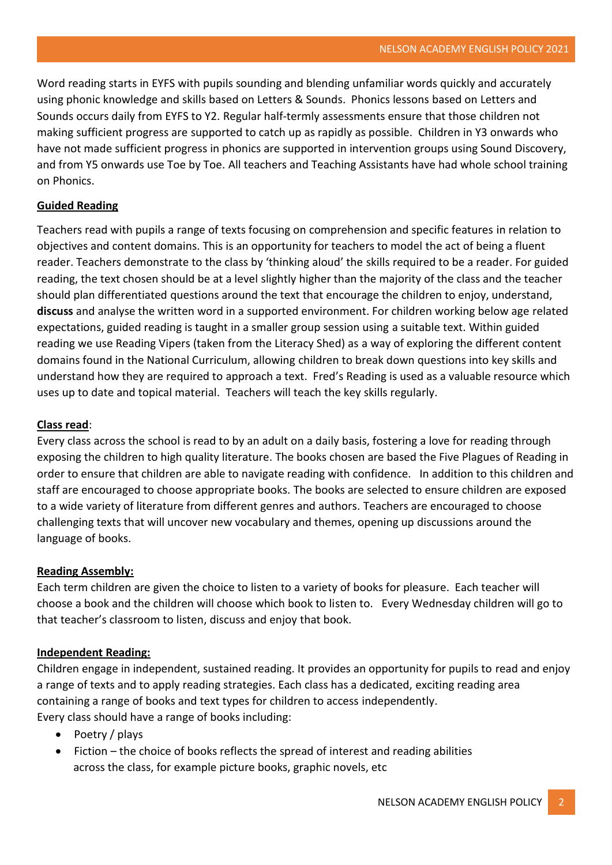Word reading starts in EYFS with pupils sounding and blending unfamiliar words quickly and accurately using phonic knowledge and skills based on Letters & Sounds. Phonics lessons based on Letters and Sounds occurs daily from EYFS to Y2. Regular half-termly assessments ensure that those children not making sufficient progress are supported to catch up as rapidly as possible. Children in Y3 onwards who have not made sufficient progress in phonics are supported in intervention groups using Sound Discovery, and from Y5 onwards use Toe by Toe. All teachers and Teaching Assistants have had whole school training on Phonics.

### **Guided Reading**

Teachers read with pupils a range of texts focusing on comprehension and specific features in relation to objectives and content domains. This is an opportunity for teachers to model the act of being a fluent reader. Teachers demonstrate to the class by 'thinking aloud' the skills required to be a reader. For guided reading, the text chosen should be at a level slightly higher than the majority of the class and the teacher should plan differentiated questions around the text that encourage the children to enjoy, understand, **discuss** and analyse the written word in a supported environment. For children working below age related expectations, guided reading is taught in a smaller group session using a suitable text. Within guided reading we use Reading Vipers (taken from the Literacy Shed) as a way of exploring the different content domains found in the National Curriculum, allowing children to break down questions into key skills and understand how they are required to approach a text. Fred's Reading is used as a valuable resource which uses up to date and topical material. Teachers will teach the key skills regularly.

#### **Class read**:

Every class across the school is read to by an adult on a daily basis, fostering a love for reading through exposing the children to high quality literature. The books chosen are based the Five Plagues of Reading in order to ensure that children are able to navigate reading with confidence. In addition to this children and staff are encouraged to choose appropriate books. The books are selected to ensure children are exposed to a wide variety of literature from different genres and authors. Teachers are encouraged to choose challenging texts that will uncover new vocabulary and themes, opening up discussions around the language of books.

#### **Reading Assembly:**

Each term children are given the choice to listen to a variety of books for pleasure. Each teacher will choose a book and the children will choose which book to listen to. Every Wednesday children will go to that teacher's classroom to listen, discuss and enjoy that book.

#### **Independent Reading:**

Children engage in independent, sustained reading. It provides an opportunity for pupils to read and enjoy a range of texts and to apply reading strategies. Each class has a dedicated, exciting reading area containing a range of books and text types for children to access independently. Every class should have a range of books including:

- Poetry / plays
- Fiction the choice of books reflects the spread of interest and reading abilities across the class, for example picture books, graphic novels, etc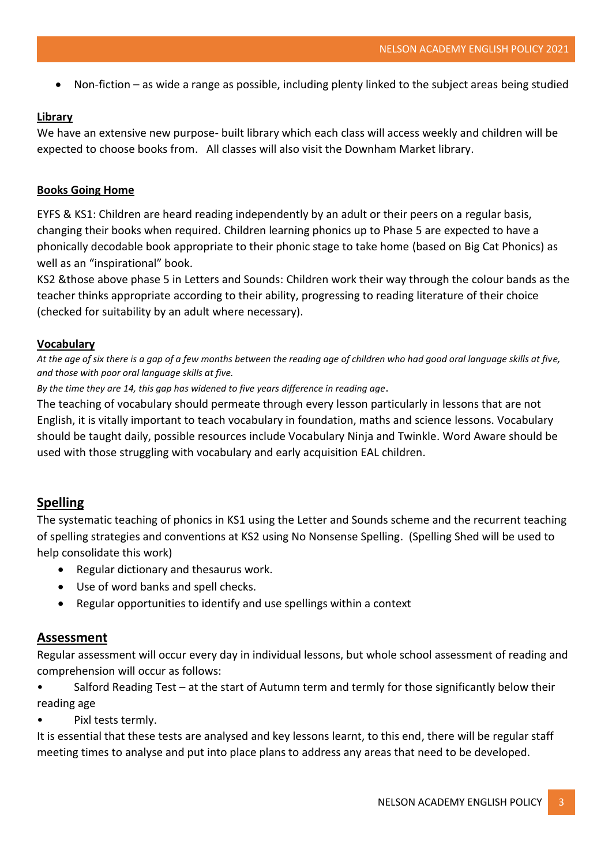• Non-fiction – as wide a range as possible, including plenty linked to the subject areas being studied

#### **Library**

We have an extensive new purpose- built library which each class will access weekly and children will be expected to choose books from. All classes will also visit the Downham Market library.

#### **Books Going Home**

EYFS & KS1: Children are heard reading independently by an adult or their peers on a regular basis, changing their books when required. Children learning phonics up to Phase 5 are expected to have a phonically decodable book appropriate to their phonic stage to take home (based on Big Cat Phonics) as well as an "inspirational" book.

KS2 &those above phase 5 in Letters and Sounds: Children work their way through the colour bands as the teacher thinks appropriate according to their ability, progressing to reading literature of their choice (checked for suitability by an adult where necessary).

### **Vocabulary**

*At the age of six there is a gap of a few months between the reading age of children who had good oral language skills at five, and those with poor oral language skills at five.* 

*By the time they are 14, this gap has widened to five years difference in reading age*.

The teaching of vocabulary should permeate through every lesson particularly in lessons that are not English, it is vitally important to teach vocabulary in foundation, maths and science lessons. Vocabulary should be taught daily, possible resources include Vocabulary Ninja and Twinkle. Word Aware should be used with those struggling with vocabulary and early acquisition EAL children.

# **Spelling**

The systematic teaching of phonics in KS1 using the Letter and Sounds scheme and the recurrent teaching of spelling strategies and conventions at KS2 using No Nonsense Spelling. (Spelling Shed will be used to help consolidate this work)

- Regular dictionary and thesaurus work.
- Use of word banks and spell checks.
- Regular opportunities to identify and use spellings within a context

#### **Assessment**

Regular assessment will occur every day in individual lessons, but whole school assessment of reading and comprehension will occur as follows:

- Salford Reading Test at the start of Autumn term and termly for those significantly below their reading age
- Pixl tests termly.

It is essential that these tests are analysed and key lessons learnt, to this end, there will be regular staff meeting times to analyse and put into place plans to address any areas that need to be developed.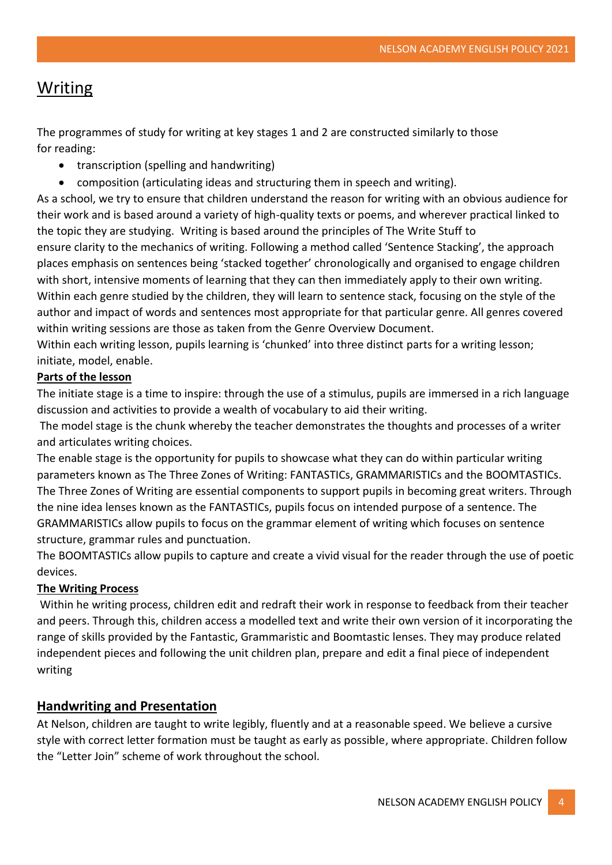# **Writing**

The programmes of study for writing at key stages 1 and 2 are constructed similarly to those for reading:

- transcription (spelling and handwriting)
- composition (articulating ideas and structuring them in speech and writing).

As a school, we try to ensure that children understand the reason for writing with an obvious audience for their work and is based around a variety of high-quality texts or poems, and wherever practical linked to the topic they are studying. Writing is based around the principles of The Write Stuff to

ensure clarity to the mechanics of writing. Following a method called 'Sentence Stacking', the approach places emphasis on sentences being 'stacked together' chronologically and organised to engage children with short, intensive moments of learning that they can then immediately apply to their own writing. Within each genre studied by the children, they will learn to sentence stack, focusing on the style of the author and impact of words and sentences most appropriate for that particular genre. All genres covered within writing sessions are those as taken from the Genre Overview Document.

Within each writing lesson, pupils learning is 'chunked' into three distinct parts for a writing lesson; initiate, model, enable.

#### **Parts of the lesson**

The initiate stage is a time to inspire: through the use of a stimulus, pupils are immersed in a rich language discussion and activities to provide a wealth of vocabulary to aid their writing.

The model stage is the chunk whereby the teacher demonstrates the thoughts and processes of a writer and articulates writing choices.

The enable stage is the opportunity for pupils to showcase what they can do within particular writing parameters known as The Three Zones of Writing: FANTASTICs, GRAMMARISTICs and the BOOMTASTICs. The Three Zones of Writing are essential components to support pupils in becoming great writers. Through the nine idea lenses known as the FANTASTICs, pupils focus on intended purpose of a sentence. The GRAMMARISTICs allow pupils to focus on the grammar element of writing which focuses on sentence structure, grammar rules and punctuation.

The BOOMTASTICs allow pupils to capture and create a vivid visual for the reader through the use of poetic devices.

#### **The Writing Process**

Within he writing process, children edit and redraft their work in response to feedback from their teacher and peers. Through this, children access a modelled text and write their own version of it incorporating the range of skills provided by the Fantastic, Grammaristic and Boomtastic lenses. They may produce related independent pieces and following the unit children plan, prepare and edit a final piece of independent writing

## **Handwriting and Presentation**

At Nelson, children are taught to write legibly, fluently and at a reasonable speed. We believe a cursive style with correct letter formation must be taught as early as possible, where appropriate. Children follow the "Letter Join" scheme of work throughout the school.